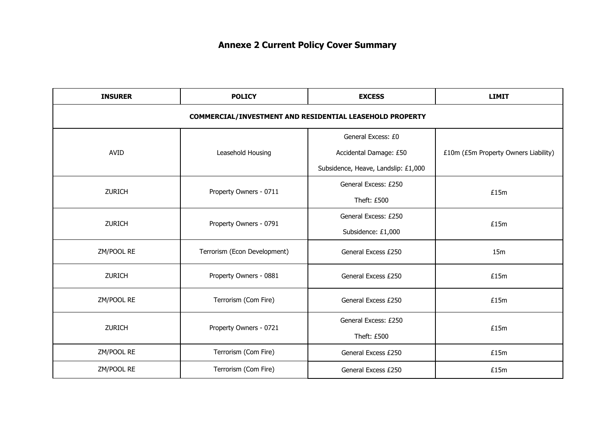| <b>INSURER</b>                                           | <b>POLICY</b>                | <b>EXCESS</b>                       | <b>LIMIT</b>                         |  |  |  |
|----------------------------------------------------------|------------------------------|-------------------------------------|--------------------------------------|--|--|--|
| COMMERCIAL/INVESTMENT AND RESIDENTIAL LEASEHOLD PROPERTY |                              |                                     |                                      |  |  |  |
|                                                          |                              | General Excess: £0                  |                                      |  |  |  |
| <b>AVID</b>                                              | Leasehold Housing            | Accidental Damage: £50              | £10m (£5m Property Owners Liability) |  |  |  |
|                                                          |                              | Subsidence, Heave, Landslip: £1,000 |                                      |  |  |  |
| <b>ZURICH</b>                                            | Property Owners - 0711       | General Excess: £250                | £15m                                 |  |  |  |
|                                                          |                              | Theft: £500                         |                                      |  |  |  |
| <b>ZURICH</b>                                            | Property Owners - 0791       | General Excess: £250                | £15m                                 |  |  |  |
|                                                          |                              | Subsidence: £1,000                  |                                      |  |  |  |
| ZM/POOL RE                                               | Terrorism (Econ Development) | General Excess £250                 | 15m                                  |  |  |  |
| <b>ZURICH</b>                                            | Property Owners - 0881       | General Excess £250                 | £15m                                 |  |  |  |
| ZM/POOL RE                                               | Terrorism (Com Fire)         | General Excess £250                 | £15m                                 |  |  |  |
| <b>ZURICH</b>                                            | Property Owners - 0721       | General Excess: £250                | £15m                                 |  |  |  |
|                                                          |                              | Theft: £500                         |                                      |  |  |  |
| ZM/POOL RE                                               | Terrorism (Com Fire)         | General Excess £250                 | £15m                                 |  |  |  |
| ZM/POOL RE                                               | Terrorism (Com Fire)         | General Excess £250                 | £15m                                 |  |  |  |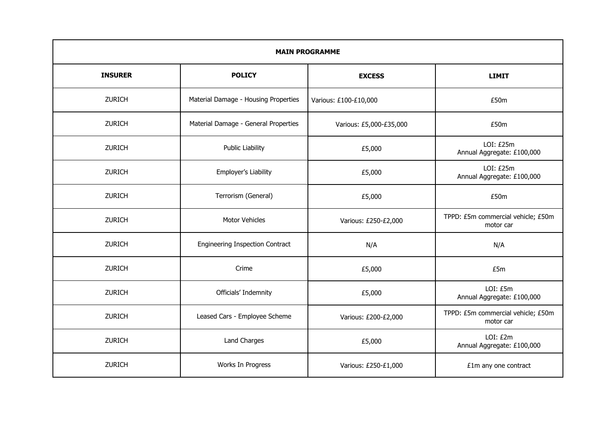| <b>MAIN PROGRAMME</b> |                                      |                         |                                                 |  |  |
|-----------------------|--------------------------------------|-------------------------|-------------------------------------------------|--|--|
| <b>INSURER</b>        | <b>POLICY</b>                        | <b>EXCESS</b>           | <b>LIMIT</b>                                    |  |  |
| <b>ZURICH</b>         | Material Damage - Housing Properties | Various: £100-£10,000   | £50m                                            |  |  |
| ZURICH                | Material Damage - General Properties | Various: £5,000-£35,000 | £50m                                            |  |  |
| <b>ZURICH</b>         | <b>Public Liability</b>              | £5,000                  | LOI: E25m<br>Annual Aggregate: £100,000         |  |  |
| <b>ZURICH</b>         | Employer's Liability                 | £5,000                  | LOI: £25m<br>Annual Aggregate: £100,000         |  |  |
| <b>ZURICH</b>         | Terrorism (General)                  | £5,000                  | £50m                                            |  |  |
| <b>ZURICH</b>         | Motor Vehicles                       | Various: £250-£2,000    | TPPD: £5m commercial vehicle; £50m<br>motor car |  |  |
| <b>ZURICH</b>         | Engineering Inspection Contract      | N/A                     | N/A                                             |  |  |
| ZURICH                | Crime                                | £5,000                  | £5m                                             |  |  |
| <b>ZURICH</b>         | Officials' Indemnity                 | £5,000                  | LOI: £5m<br>Annual Aggregate: £100,000          |  |  |
| <b>ZURICH</b>         | Leased Cars - Employee Scheme        | Various: £200-£2,000    | TPPD: £5m commercial vehicle; £50m<br>motor car |  |  |
| <b>ZURICH</b>         | Land Charges                         | £5,000                  | LOI: £2m<br>Annual Aggregate: £100,000          |  |  |
| <b>ZURICH</b>         | Works In Progress                    | Various: £250-£1,000    | £1m any one contract                            |  |  |